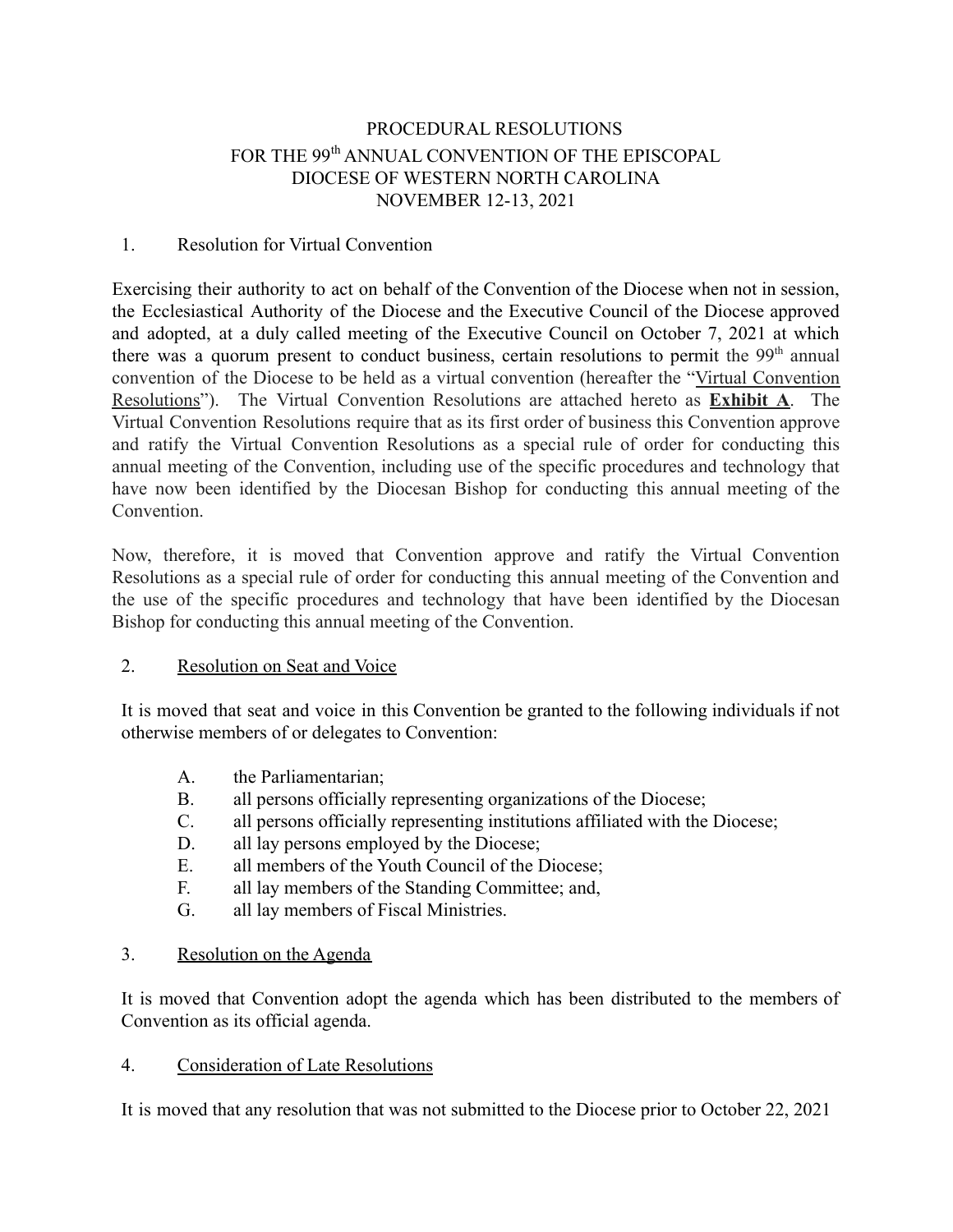# PROCEDURAL RESOLUTIONS FOR THE 99<sup>th</sup> ANNUAL CONVENTION OF THE EPISCOPAL DIOCESE OF WESTERN NORTH CAROLINA NOVEMBER 12-13, 2021

#### 1. Resolution for Virtual Convention

Exercising their authority to act on behalf of the Convention of the Diocese when not in session, the Ecclesiastical Authority of the Diocese and the Executive Council of the Diocese approved and adopted, at a duly called meeting of the Executive Council on October 7, 2021 at which there was a quorum present to conduct business, certain resolutions to permit the  $99<sup>th</sup>$  annual convention of the Diocese to be held as a virtual convention (hereafter the "Virtual Convention Resolutions"). The Virtual Convention Resolutions are attached hereto as **Exhibit A**. The Virtual Convention Resolutions require that as its first order of business this Convention approve and ratify the Virtual Convention Resolutions as a special rule of order for conducting this annual meeting of the Convention, including use of the specific procedures and technology that have now been identified by the Diocesan Bishop for conducting this annual meeting of the **Convention** 

Now, therefore, it is moved that Convention approve and ratify the Virtual Convention Resolutions as a special rule of order for conducting this annual meeting of the Convention and the use of the specific procedures and technology that have been identified by the Diocesan Bishop for conducting this annual meeting of the Convention.

### 2. Resolution on Seat and Voice

It is moved that seat and voice in this Convention be granted to the following individuals if not otherwise members of or delegates to Convention:

- A. the Parliamentarian;
- B. all persons officially representing organizations of the Diocese;
- C. all persons officially representing institutions affiliated with the Diocese;
- D. all lay persons employed by the Diocese;
- E. all members of the Youth Council of the Diocese;
- F. all lay members of the Standing Committee; and,
- G. all lay members of Fiscal Ministries.

### 3. Resolution on the Agenda

It is moved that Convention adopt the agenda which has been distributed to the members of Convention as its official agenda.

### 4. Consideration of Late Resolutions

It is moved that any resolution that was not submitted to the Diocese prior to October 22, 2021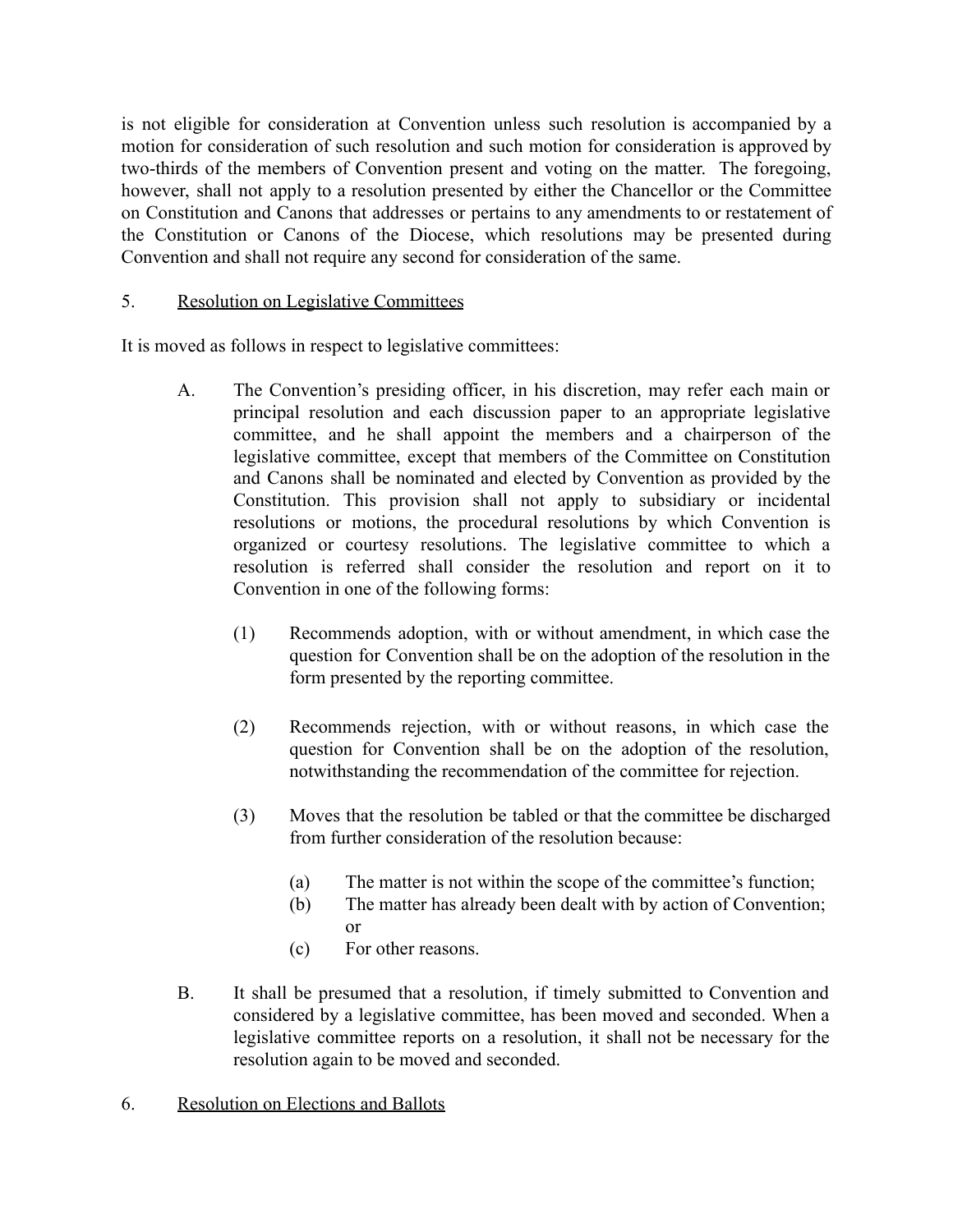is not eligible for consideration at Convention unless such resolution is accompanied by a motion for consideration of such resolution and such motion for consideration is approved by two-thirds of the members of Convention present and voting on the matter. The foregoing, however, shall not apply to a resolution presented by either the Chancellor or the Committee on Constitution and Canons that addresses or pertains to any amendments to or restatement of the Constitution or Canons of the Diocese, which resolutions may be presented during Convention and shall not require any second for consideration of the same.

## 5. Resolution on Legislative Committees

It is moved as follows in respect to legislative committees:

- A. The Convention's presiding officer, in his discretion, may refer each main or principal resolution and each discussion paper to an appropriate legislative committee, and he shall appoint the members and a chairperson of the legislative committee, except that members of the Committee on Constitution and Canons shall be nominated and elected by Convention as provided by the Constitution. This provision shall not apply to subsidiary or incidental resolutions or motions, the procedural resolutions by which Convention is organized or courtesy resolutions. The legislative committee to which a resolution is referred shall consider the resolution and report on it to Convention in one of the following forms:
	- (1) Recommends adoption, with or without amendment, in which case the question for Convention shall be on the adoption of the resolution in the form presented by the reporting committee.
	- (2) Recommends rejection, with or without reasons, in which case the question for Convention shall be on the adoption of the resolution, notwithstanding the recommendation of the committee for rejection.
	- (3) Moves that the resolution be tabled or that the committee be discharged from further consideration of the resolution because:
		- (a) The matter is not within the scope of the committee's function;
		- (b) The matter has already been dealt with by action of Convention; or
		- (c) For other reasons.
- B. It shall be presumed that a resolution, if timely submitted to Convention and considered by a legislative committee, has been moved and seconded. When a legislative committee reports on a resolution, it shall not be necessary for the resolution again to be moved and seconded.
- 6. Resolution on Elections and Ballots